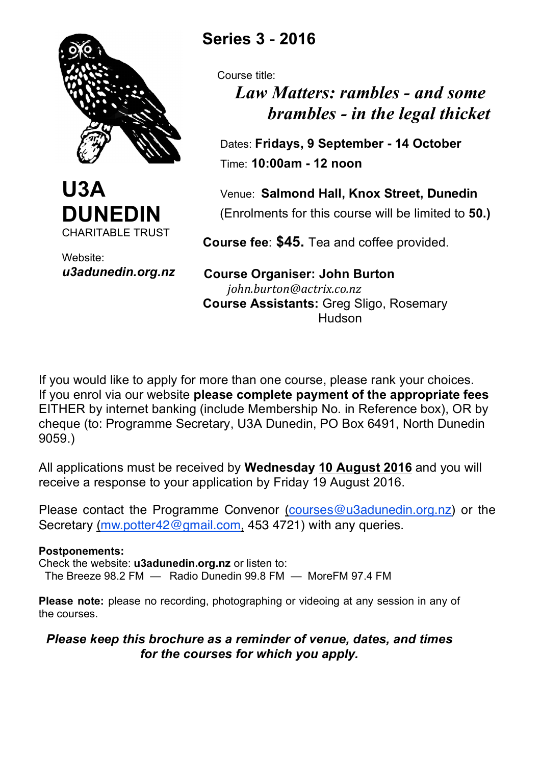



Website: *u3adunedin.org.nz*

# **Series 3** - **2016**

Course title:

# *Law Matters: rambles - and some brambles - in the legal thicket*

 Dates: **Fridays, 9 September - 14 October** Time: **10:00am - 12 noon**

 Venue: **Salmond Hall, Knox Street, Dunedin** (Enrolments for this course will be limited to **50.)**

 **Course fee**: **\$45.** Tea and coffee provided.

 **Course Organiser: John Burton**  *john.burton@actrix.co.nz*  **Course Assistants:** Greg Sligo, Rosemary **Hudson** 

If you would like to apply for more than one course, please rank your choices. If you enrol via our website **please complete payment of the appropriate fees** EITHER by internet banking (include Membership No. in Reference box), OR by cheque (to: Programme Secretary, U3A Dunedin, PO Box 6491, North Dunedin 9059.)

All applications must be received by **Wednesday 10 August 2016** and you will receive a response to your application by Friday 19 August 2016.

Please contact the Programme Convenor (courses@u3adunedin.org.nz) or the Secretary (mw.potter42@gmail.com, 453 4721) with any queries.

### **Postponements:**

Check the website: **u3adunedin.org.nz** or listen to: The Breeze 98.2 FM — Radio Dunedin 99.8 FM — MoreFM 97.4 FM

**Please note:** please no recording, photographing or videoing at any session in any of the courses.

## *Please keep this brochure as a reminder of venue, dates, and times for the courses for which you apply.*